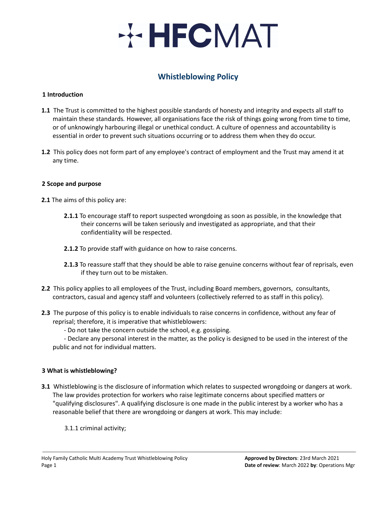# **HECMAT**

# **Whistleblowing Policy**

#### **1 Introduction**

- **1.1** The Trust is committed to the highest possible standards of honesty and integrity and expects all staff to maintain these standards*.* However, all organisations face the risk of things going wrong from time to time, or of unknowingly harbouring illegal or unethical conduct. A culture of openness and accountability is essential in order to prevent such situations occurring or to address them when they do occur.
- **1.2** This policy does not form part of any employee's contract of employment and the Trust may amend it at any time.

### **2 Scope and purpose**

**2.1** The aims of this policy are:

- **2.1.1** To encourage staff to report suspected wrongdoing as soon as possible, in the knowledge that their concerns will be taken seriously and investigated as appropriate, and that their confidentiality will be respected.
- **2.1.2** To provide staff with guidance on how to raise concerns.
- **2.1.3** To reassure staff that they should be able to raise genuine concerns without fear of reprisals, even if they turn out to be mistaken.
- **2.2** This policy applies to all employees of the Trust, including Board members, governors, consultants, contractors, casual and agency staff and volunteers (collectively referred to as staff in this policy).
- **2.3** The purpose of this policy is to enable individuals to raise concerns in confidence, without any fear of reprisal; therefore, it is imperative that whistleblowers:
	- Do not take the concern outside the school, e.g. gossiping.

- Declare any personal interest in the matter, as the policy is designed to be used in the interest of the public and not for individual matters.

#### **3 What is whistleblowing?**

- **3.1** Whistleblowing is the disclosure of information which relates to suspected wrongdoing or dangers at work. The law provides protection for workers who raise legitimate concerns about specified matters or "qualifying disclosures". A qualifying disclosure is one made in the public interest by a worker who has a reasonable belief that there are wrongdoing or dangers at work. This may include:
	- 3.1.1 criminal activity;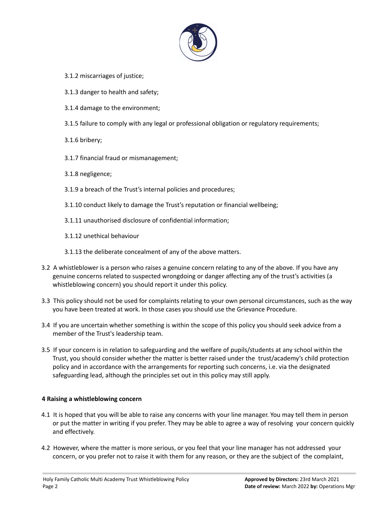

- 3.1.2 miscarriages of justice;
- 3.1.3 danger to health and safety;
- 3.1.4 damage to the environment;
- 3.1.5 failure to comply with any legal or professional obligation or regulatory requirements;
- 3.1.6 bribery;
- 3.1.7 financial fraud or mismanagement;
- 3.1.8 negligence;
- 3.1.9 a breach of the Trust's internal policies and procedures;
- 3.1.10 conduct likely to damage the Trust's reputation or financial wellbeing;
- 3.1.11 unauthorised disclosure of confidential information;
- 3.1.12 unethical behaviour
- 3.1.13 the deliberate concealment of any of the above matters.
- 3.2 A whistleblower is a person who raises a genuine concern relating to any of the above. If you have any genuine concerns related to suspected wrongdoing or danger affecting any of the trust's activities (a whistleblowing concern) you should report it under this policy.
- 3.3 This policy should not be used for complaints relating to your own personal circumstances, such as the way you have been treated at work. In those cases you should use the Grievance Procedure.
- 3.4 If you are uncertain whether something is within the scope of this policy you should seek advice from a member of the Trust's leadership team.
- 3.5 If your concern is in relation to safeguarding and the welfare of pupils/students at any school within the Trust, you should consider whether the matter is better raised under the trust/academy's child protection policy and in accordance with the arrangements for reporting such concerns, i.e. via the designated safeguarding lead, although the principles set out in this policy may still apply.

### **4 Raising a whistleblowing concern**

- 4.1 It is hoped that you will be able to raise any concerns with your line manager. You may tell them in person or put the matter in writing if you prefer. They may be able to agree a way of resolving your concern quickly and effectively.
- 4.2 However, where the matter is more serious, or you feel that your line manager has not addressed your concern, or you prefer not to raise it with them for any reason, or they are the subject of the complaint,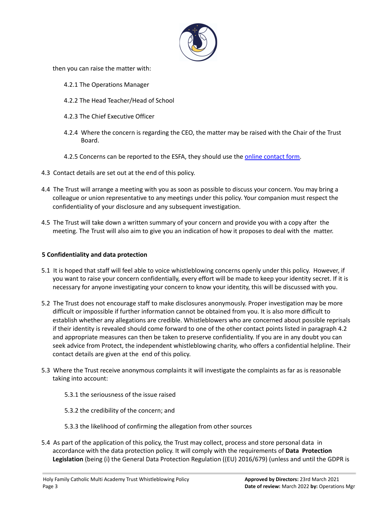

then you can raise the matter with:

- 4.2.1 The Operations Manager
- 4.2.2 The Head Teacher/Head of School
- 4.2.3 The Chief Executive Officer
- 4.2.4 Where the concern is regarding the CEO, the matter may be raised with the Chair of the Trust Board.
- 4.2.5 Concerns can be reported to the ESFA, they should use the online [contact](https://form.education.gov.uk/en/AchieveForms/?form_uri=sandbox-publish://AF-Process-f1453496-7d8a-463f-9f33-1da2ac47ed76/AF-Stage-1e64d4cc-25fb-499a-a8d7-74e98203ac00/definition.json&redirectlink=%2Fen&cancelRedirectLink=%2Fenm) form.
- 4.3 Contact details are set out at the end of this policy.
- 4.4 The Trust will arrange a meeting with you as soon as possible to discuss your concern. You may bring a colleague or union representative to any meetings under this policy. Your companion must respect the confidentiality of your disclosure and any subsequent investigation.
- 4.5 The Trust will take down a written summary of your concern and provide you with a copy after the meeting. The Trust will also aim to give you an indication of how it proposes to deal with the matter.

### **5 Confidentiality and data protection**

- 5.1 It is hoped that staff will feel able to voice whistleblowing concerns openly under this policy. However, if you want to raise your concern confidentially, every effort will be made to keep your identity secret. If it is necessary for anyone investigating your concern to know your identity, this will be discussed with you.
- 5.2 The Trust does not encourage staff to make disclosures anonymously. Proper investigation may be more difficult or impossible if further information cannot be obtained from you. It is also more difficult to establish whether any allegations are credible. Whistleblowers who are concerned about possible reprisals if their identity is revealed should come forward to one of the other contact points listed in paragraph 4.2 and appropriate measures can then be taken to preserve confidentiality. If you are in any doubt you can seek advice from Protect, the independent whistleblowing charity, who offers a confidential helpline. Their contact details are given at the end of this policy.
- 5.3 Where the Trust receive anonymous complaints it will investigate the complaints as far as is reasonable taking into account:
	- 5.3.1 the seriousness of the issue raised
	- 5.3.2 the credibility of the concern; and
	- 5.3.3 the likelihood of confirming the allegation from other sources
- 5.4 As part of the application of this policy, the Trust may collect, process and store personal data in accordance with the data protection policy. It will comply with the requirements of **Data Protection Legislation** (being (i) the General Data Protection Regulation ((EU) 2016/679) (unless and until the GDPR is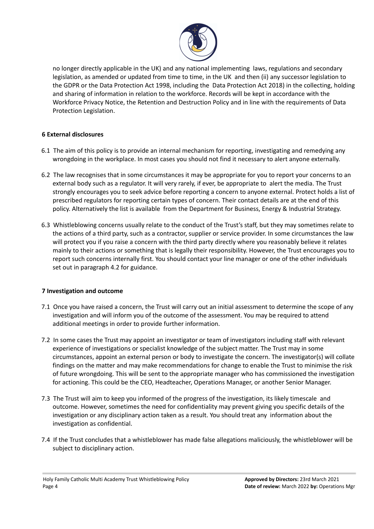

no longer directly applicable in the UK) and any national implementing laws, regulations and secondary legislation, as amended or updated from time to time, in the UK and then (ii) any successor legislation to the GDPR or the Data Protection Act 1998, including the Data Protection Act 2018) in the collecting, holding and sharing of information in relation to the workforce. Records will be kept in accordance with the Workforce Privacy Notice, the Retention and Destruction Policy and in line with the requirements of Data Protection Legislation.

# **6 External disclosures**

- 6.1 The aim of this policy is to provide an internal mechanism for reporting, investigating and remedying any wrongdoing in the workplace. In most cases you should not find it necessary to alert anyone externally.
- 6.2 The law recognises that in some circumstances it may be appropriate for you to report your concerns to an external body such as a regulator. It will very rarely, if ever, be appropriate to alert the media. The Trust strongly encourages you to seek advice before reporting a concern to anyone external. Protect holds a list of prescribed regulators for reporting certain types of concern. Their contact details are at the end of this policy. Alternatively the list is available from the Department for Business, Energy & Industrial Strategy.
- 6.3 Whistleblowing concerns usually relate to the conduct of the Trust's staff, but they may sometimes relate to the actions of a third party, such as a contractor, supplier or service provider. In some circumstances the law will protect you if you raise a concern with the third party directly where you reasonably believe it relates mainly to their actions or something that is legally their responsibility. However, the Trust encourages you to report such concerns internally first. You should contact your line manager or one of the other individuals set out in paragraph 4.2 for guidance.

# **7 Investigation and outcome**

- 7.1 Once you have raised a concern, the Trust will carry out an initial assessment to determine the scope of any investigation and will inform you of the outcome of the assessment. You may be required to attend additional meetings in order to provide further information.
- 7.2 In some cases the Trust may appoint an investigator or team of investigators including staff with relevant experience of investigations or specialist knowledge of the subject matter. The Trust may in some circumstances, appoint an external person or body to investigate the concern. The investigator(s) will collate findings on the matter and may make recommendations for change to enable the Trust to minimise the risk of future wrongdoing. This will be sent to the appropriate manager who has commissioned the investigation for actioning. This could be the CEO, Headteacher, Operations Manager, or another Senior Manager.
- 7.3 The Trust will aim to keep you informed of the progress of the investigation, its likely timescale and outcome. However, sometimes the need for confidentiality may prevent giving you specific details of the investigation or any disciplinary action taken as a result. You should treat any information about the investigation as confidential.
- 7.4 If the Trust concludes that a whistleblower has made false allegations maliciously, the whistleblower will be subject to disciplinary action.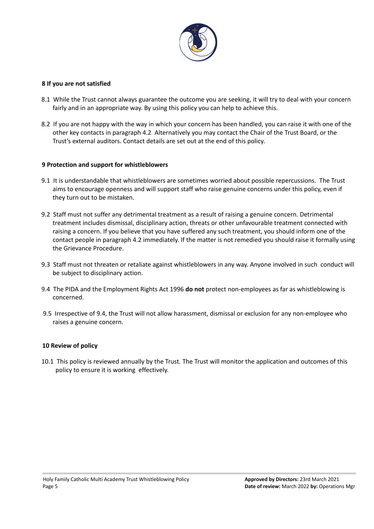

#### **8 If you are not satisfied**

- 8.1 While the Trust cannot always guarantee the outcome you are seeking, it will try to deal with your concern fairly and in an appropriate way. By using this policy you can help to achieve this.
- 8.2 If you are not happy with the way in which your concern has been handled, you can raise it with one of the other key contacts in paragraph 4.2*.* Alternatively you may contact the Chair of the Trust Board, or the Trust's external auditors. Contact details are set out at the end of this policy.

#### **9 Protection and support for whistleblowers**

- 9.1 It is understandable that whistleblowers are sometimes worried about possible repercussions. The Trust aims to encourage openness and will support staff who raise genuine concerns under this policy, even if they turn out to be mistaken.
- 9.2 Staff must not suffer any detrimental treatment as a result of raising a genuine concern. Detrimental treatment includes dismissal, disciplinary action, threats or other unfavourable treatment connected with raising a concern. If you believe that you have suffered any such treatment, you should inform one of the contact people in paragraph 4.2 immediately. If the matter is not remedied you should raise it formally using the Grievance Procedure.
- 9.3 Staff must not threaten or retaliate against whistleblowers in any way. Anyone involved in such conduct will be subject to disciplinary action.
- 9.4 The PIDA and the Employment Rights Act 1996 **do not** protect non-employees as far as whistleblowing is concerned.
- 9.5 Irrespective of 9.4, the Trust will not allow harassment, dismissal or exclusion for any non-employee who raises a genuine concern.

#### **10 Review of policy**

10.1 This policy is reviewed annually by the Trust*.* The Trust will monitor the application and outcomes of this policy to ensure it is working effectively.